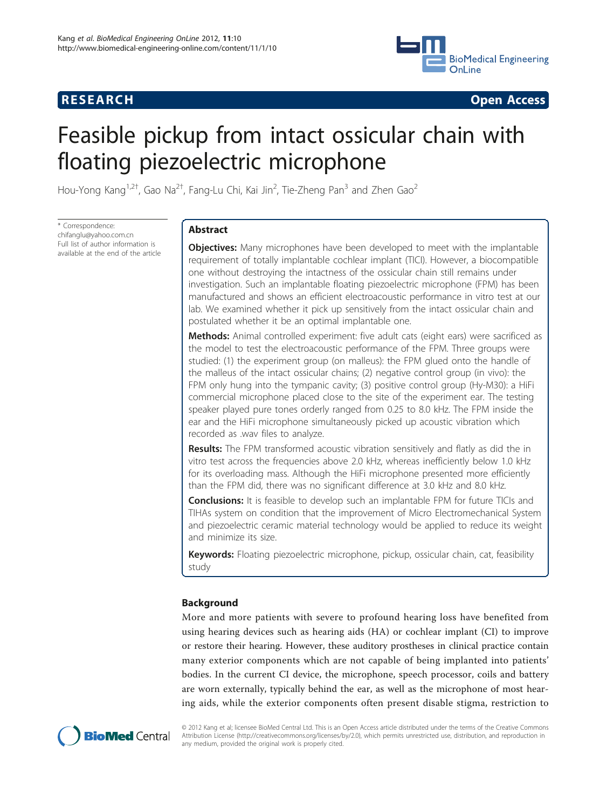

**RESEARCH CONSTRUCTION CONSTRUCTS** 

# Feasible pickup from intact ossicular chain with floating piezoelectric microphone

Hou-Yong Kang<sup>1,2†</sup>, Gao Na<sup>2†</sup>, Fang-Lu Chi, Kai Jin<sup>2</sup>, Tie-Zheng Pan<sup>3</sup> and Zhen Gao<sup>2</sup>

\* Correspondence: [chifanglu@yahoo.com.cn](mailto:chifanglu@yahoo.com.cn) Full list of author information is available at the end of the article

# Abstract

**Objectives:** Many microphones have been developed to meet with the implantable requirement of totally implantable cochlear implant (TICI). However, a biocompatible one without destroying the intactness of the ossicular chain still remains under investigation. Such an implantable floating piezoelectric microphone (FPM) has been manufactured and shows an efficient electroacoustic performance in vitro test at our lab. We examined whether it pick up sensitively from the intact ossicular chain and postulated whether it be an optimal implantable one.

**Methods:** Animal controlled experiment: five adult cats (eight ears) were sacrificed as the model to test the electroacoustic performance of the FPM. Three groups were studied: (1) the experiment group (on malleus): the FPM glued onto the handle of the malleus of the intact ossicular chains; (2) negative control group (in vivo): the FPM only hung into the tympanic cavity; (3) positive control group (Hy-M30): a HiFi commercial microphone placed close to the site of the experiment ear. The testing speaker played pure tones orderly ranged from 0.25 to 8.0 kHz. The FPM inside the ear and the HiFi microphone simultaneously picked up acoustic vibration which recorded as .wav files to analyze.

**Results:** The FPM transformed acoustic vibration sensitively and flatly as did the in vitro test across the frequencies above 2.0 kHz, whereas inefficiently below 1.0 kHz for its overloading mass. Although the HiFi microphone presented more efficiently than the FPM did, there was no significant difference at 3.0 kHz and 8.0 kHz.

**Conclusions:** It is feasible to develop such an implantable FPM for future TICIs and TIHAs system on condition that the improvement of Micro Electromechanical System and piezoelectric ceramic material technology would be applied to reduce its weight and minimize its size.

Keywords: Floating piezoelectric microphone, pickup, ossicular chain, cat, feasibility study

# Background

More and more patients with severe to profound hearing loss have benefited from using hearing devices such as hearing aids (HA) or cochlear implant (CI) to improve or restore their hearing. However, these auditory prostheses in clinical practice contain many exterior components which are not capable of being implanted into patients' bodies. In the current CI device, the microphone, speech processor, coils and battery are worn externally, typically behind the ear, as well as the microphone of most hearing aids, while the exterior components often present disable stigma, restriction to



© 2012 Kang et al; licensee BioMed Central Ltd. This is an Open Access article distributed under the terms of the Creative Commons Attribution License [\(http://creativecommons.org/licenses/by/2.0](http://creativecommons.org/licenses/by/2.0)), which permits unrestricted use, distribution, and reproduction in any medium, provided the original work is properly cited.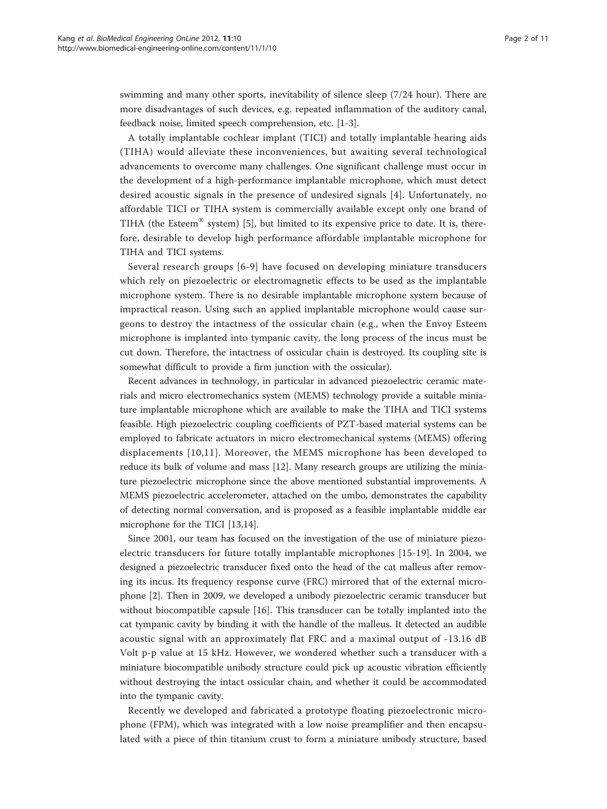swimming and many other sports, inevitability of silence sleep (7/24 hour). There are more disadvantages of such devices, e.g. repeated inflammation of the auditory canal, feedback noise, limited speech comprehension, etc. [[1-3](#page-9-0)].

A totally implantable cochlear implant (TICI) and totally implantable hearing aids (TIHA) would alleviate these inconveniences, but awaiting several technological advancements to overcome many challenges. One significant challenge must occur in the development of a high-performance implantable microphone, which must detect desired acoustic signals in the presence of undesired signals [\[4\]](#page-9-0). Unfortunately, no affordable TICI or TIHA system is commercially available except only one brand of TIHA (the Esteem® system) [\[5](#page-9-0)], but limited to its expensive price to date. It is, therefore, desirable to develop high performance affordable implantable microphone for TIHA and TICI systems.

Several research groups [[6](#page-9-0)-[9](#page-10-0)] have focused on developing miniature transducers which rely on piezoelectric or electromagnetic effects to be used as the implantable microphone system. There is no desirable implantable microphone system because of impractical reason. Using such an applied implantable microphone would cause surgeons to destroy the intactness of the ossicular chain (e.g., when the Envoy Esteem microphone is implanted into tympanic cavity, the long process of the incus must be cut down. Therefore, the intactness of ossicular chain is destroyed. Its coupling site is somewhat difficult to provide a firm junction with the ossicular).

Recent advances in technology, in particular in advanced piezoelectric ceramic materials and micro electromechanics system (MEMS) technology provide a suitable miniature implantable microphone which are available to make the TIHA and TICI systems feasible. High piezoelectric coupling coefficients of PZT-based material systems can be employed to fabricate actuators in micro electromechanical systems (MEMS) offering displacements [[10,11\]](#page-10-0). Moreover, the MEMS microphone has been developed to reduce its bulk of volume and mass [[12](#page-10-0)]. Many research groups are utilizing the miniature piezoelectric microphone since the above mentioned substantial improvements. A MEMS piezoelectric accelerometer, attached on the umbo, demonstrates the capability of detecting normal conversation, and is proposed as a feasible implantable middle ear microphone for the TICI [[13,14\]](#page-10-0).

Since 2001, our team has focused on the investigation of the use of miniature piezoelectric transducers for future totally implantable microphones [\[15-19\]](#page-10-0). In 2004, we designed a piezoelectric transducer fixed onto the head of the cat malleus after removing its incus. Its frequency response curve (FRC) mirrored that of the external microphone [[2](#page-9-0)]. Then in 2009, we developed a unibody piezoelectric ceramic transducer but without biocompatible capsule [[16\]](#page-10-0). This transducer can be totally implanted into the cat tympanic cavity by binding it with the handle of the malleus. It detected an audible acoustic signal with an approximately flat FRC and a maximal output of -13.16 dB Volt p-p value at 15 kHz. However, we wondered whether such a transducer with a miniature biocompatible unibody structure could pick up acoustic vibration efficiently without destroying the intact ossicular chain, and whether it could be accommodated into the tympanic cavity.

Recently we developed and fabricated a prototype floating piezoelectronic microphone (FPM), which was integrated with a low noise preamplifier and then encapsulated with a piece of thin titanium crust to form a miniature unibody structure, based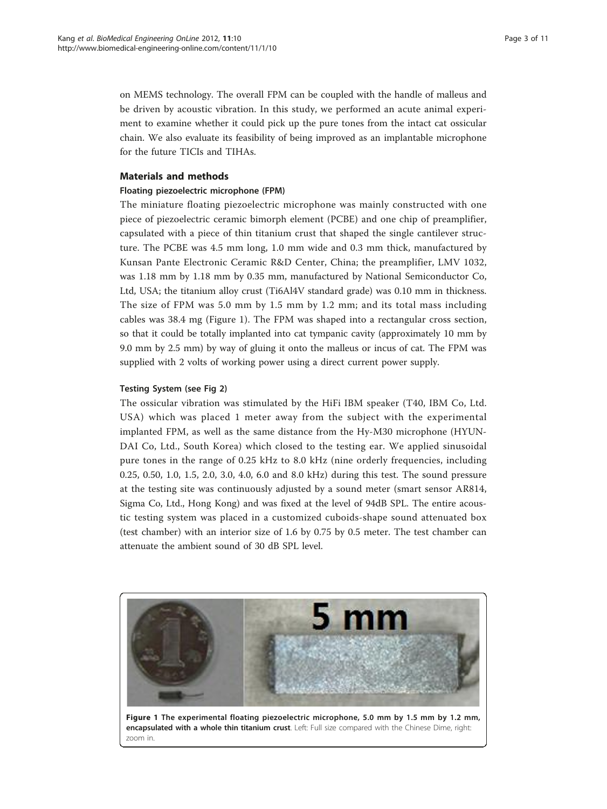on MEMS technology. The overall FPM can be coupled with the handle of malleus and be driven by acoustic vibration. In this study, we performed an acute animal experiment to examine whether it could pick up the pure tones from the intact cat ossicular chain. We also evaluate its feasibility of being improved as an implantable microphone for the future TICIs and TIHAs.

# Materials and methods

#### Floating piezoelectric microphone (FPM)

The miniature floating piezoelectric microphone was mainly constructed with one piece of piezoelectric ceramic bimorph element (PCBE) and one chip of preamplifier, capsulated with a piece of thin titanium crust that shaped the single cantilever structure. The PCBE was 4.5 mm long, 1.0 mm wide and 0.3 mm thick, manufactured by Kunsan Pante Electronic Ceramic R&D Center, China; the preamplifier, LMV 1032, was 1.18 mm by 1.18 mm by 0.35 mm, manufactured by National Semiconductor Co, Ltd, USA; the titanium alloy crust (Ti6Al4V standard grade) was 0.10 mm in thickness. The size of FPM was 5.0 mm by 1.5 mm by 1.2 mm; and its total mass including cables was 38.4 mg (Figure 1). The FPM was shaped into a rectangular cross section, so that it could be totally implanted into cat tympanic cavity (approximately 10 mm by 9.0 mm by 2.5 mm) by way of gluing it onto the malleus or incus of cat. The FPM was supplied with 2 volts of working power using a direct current power supply.

# Testing System (see Fig [2](#page-3-0))

The ossicular vibration was stimulated by the HiFi IBM speaker (T40, IBM Co, Ltd. USA) which was placed 1 meter away from the subject with the experimental implanted FPM, as well as the same distance from the Hy-M30 microphone (HYUN-DAI Co, Ltd., South Korea) which closed to the testing ear. We applied sinusoidal pure tones in the range of 0.25 kHz to 8.0 kHz (nine orderly frequencies, including 0.25, 0.50, 1.0, 1.5, 2.0, 3.0, 4.0, 6.0 and 8.0 kHz) during this test. The sound pressure at the testing site was continuously adjusted by a sound meter (smart sensor AR814, Sigma Co, Ltd., Hong Kong) and was fixed at the level of 94dB SPL. The entire acoustic testing system was placed in a customized cuboids-shape sound attenuated box (test chamber) with an interior size of 1.6 by 0.75 by 0.5 meter. The test chamber can attenuate the ambient sound of 30 dB SPL level.

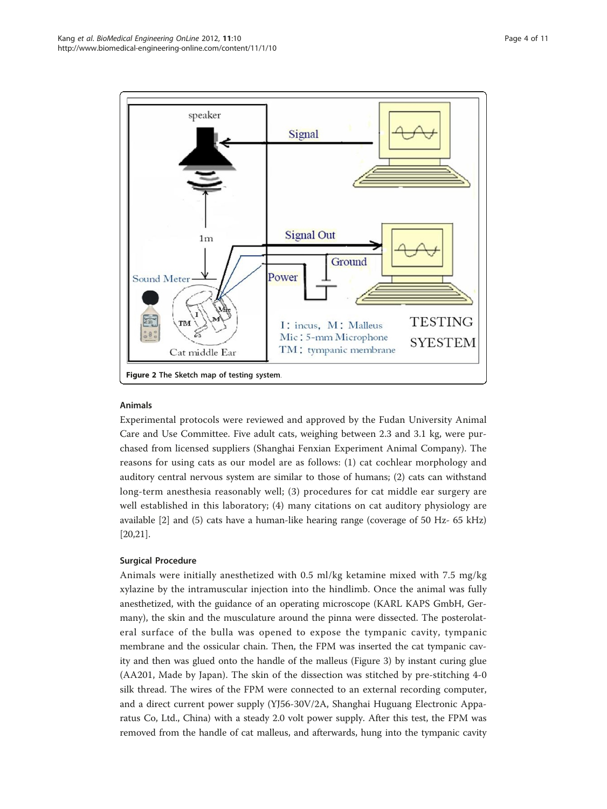<span id="page-3-0"></span>

# Animals

Experimental protocols were reviewed and approved by the Fudan University Animal Care and Use Committee. Five adult cats, weighing between 2.3 and 3.1 kg, were purchased from licensed suppliers (Shanghai Fenxian Experiment Animal Company). The reasons for using cats as our model are as follows: (1) cat cochlear morphology and auditory central nervous system are similar to those of humans; (2) cats can withstand long-term anesthesia reasonably well; (3) procedures for cat middle ear surgery are well established in this laboratory; (4) many citations on cat auditory physiology are available [[2\]](#page-9-0) and (5) cats have a human-like hearing range (coverage of 50 Hz- 65 kHz) [[20,21](#page-10-0)].

# Surgical Procedure

Animals were initially anesthetized with 0.5 ml/kg ketamine mixed with 7.5 mg/kg xylazine by the intramuscular injection into the hindlimb. Once the animal was fully anesthetized, with the guidance of an operating microscope (KARL KAPS GmbH, Germany), the skin and the musculature around the pinna were dissected. The posterolateral surface of the bulla was opened to expose the tympanic cavity, tympanic membrane and the ossicular chain. Then, the FPM was inserted the cat tympanic cavity and then was glued onto the handle of the malleus (Figure [3](#page-4-0)) by instant curing glue (AA201, Made by Japan). The skin of the dissection was stitched by pre-stitching 4-0 silk thread. The wires of the FPM were connected to an external recording computer, and a direct current power supply (YJ56-30V/2A, Shanghai Huguang Electronic Apparatus Co, Ltd., China) with a steady 2.0 volt power supply. After this test, the FPM was removed from the handle of cat malleus, and afterwards, hung into the tympanic cavity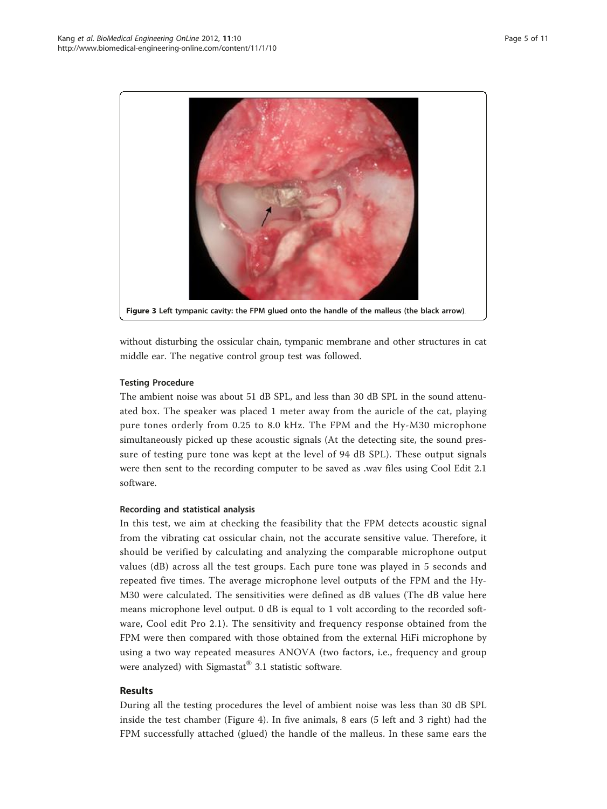<span id="page-4-0"></span>

without disturbing the ossicular chain, tympanic membrane and other structures in cat middle ear. The negative control group test was followed.

# Testing Procedure

The ambient noise was about 51 dB SPL, and less than 30 dB SPL in the sound attenuated box. The speaker was placed 1 meter away from the auricle of the cat, playing pure tones orderly from 0.25 to 8.0 kHz. The FPM and the Hy-M30 microphone simultaneously picked up these acoustic signals (At the detecting site, the sound pressure of testing pure tone was kept at the level of 94 dB SPL). These output signals were then sent to the recording computer to be saved as .wav files using Cool Edit 2.1 software.

# Recording and statistical analysis

In this test, we aim at checking the feasibility that the FPM detects acoustic signal from the vibrating cat ossicular chain, not the accurate sensitive value. Therefore, it should be verified by calculating and analyzing the comparable microphone output values (dB) across all the test groups. Each pure tone was played in 5 seconds and repeated five times. The average microphone level outputs of the FPM and the Hy-M30 were calculated. The sensitivities were defined as dB values (The dB value here means microphone level output. 0 dB is equal to 1 volt according to the recorded software, Cool edit Pro 2.1). The sensitivity and frequency response obtained from the FPM were then compared with those obtained from the external HiFi microphone by using a two way repeated measures ANOVA (two factors, i.e., frequency and group were analyzed) with Sigmastat® 3.1 statistic software.

# Results

During all the testing procedures the level of ambient noise was less than 30 dB SPL inside the test chamber (Figure [4](#page-5-0)). In five animals, 8 ears (5 left and 3 right) had the FPM successfully attached (glued) the handle of the malleus. In these same ears the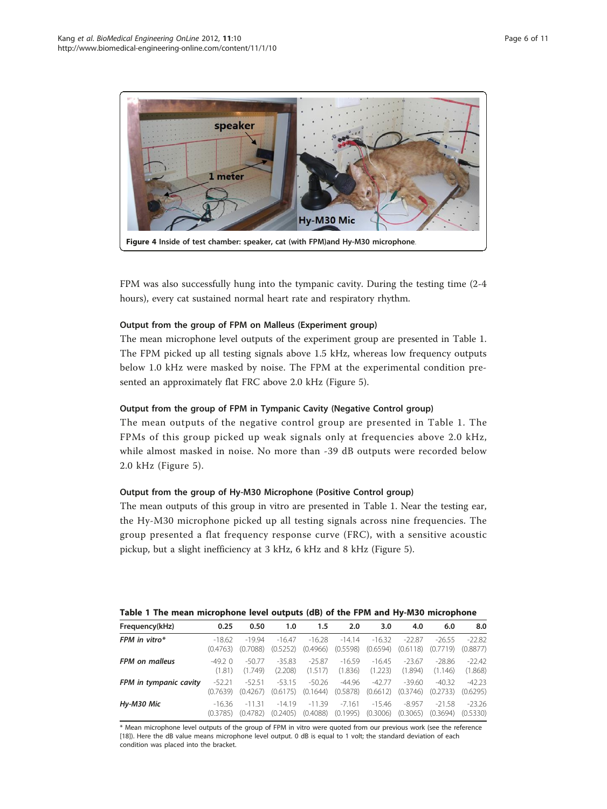<span id="page-5-0"></span>

FPM was also successfully hung into the tympanic cavity. During the testing time (2-4 hours), every cat sustained normal heart rate and respiratory rhythm.

# Output from the group of FPM on Malleus (Experiment group)

The mean microphone level outputs of the experiment group are presented in Table 1. The FPM picked up all testing signals above 1.5 kHz, whereas low frequency outputs below 1.0 kHz were masked by noise. The FPM at the experimental condition presented an approximately flat FRC above 2.0 kHz (Figure [5\)](#page-6-0).

#### Output from the group of FPM in Tympanic Cavity (Negative Control group)

The mean outputs of the negative control group are presented in Table 1. The FPMs of this group picked up weak signals only at frequencies above 2.0 kHz, while almost masked in noise. No more than -39 dB outputs were recorded below 2.0 kHz (Figure [5](#page-6-0)).

# Output from the group of Hy-M30 Microphone (Positive Control group)

The mean outputs of this group in vitro are presented in Table 1. Near the testing ear, the Hy-M30 microphone picked up all testing signals across nine frequencies. The group presented a flat frequency response curve (FRC), with a sensitive acoustic pickup, but a slight inefficiency at 3 kHz, 6 kHz and 8 kHz (Figure [5\)](#page-6-0).

#### Table 1 The mean microphone level outputs (dB) of the FPM and Hy-M30 microphone

| Frequency(kHz)         | 0.25      | 0.50     | 1.0      | 1.5      | 2.0      | 3.0      | 4.0      | 6.0      | 8.0      |
|------------------------|-----------|----------|----------|----------|----------|----------|----------|----------|----------|
| FPM in vitro $*$       | $-18.62$  | $-1994$  | $-1647$  | $-16.28$ | $-14.14$ | $-16.32$ | $-22.87$ | $-26.55$ | $-22.82$ |
|                        | (0.4763)  | (0.7088) | (0.5252) | (0.4966) | (0.5598) | (0.6594) | (0.6118) | (0.7719) | (0.8877) |
| <b>FPM</b> on malleus  | $-49.2$ 0 | $-50.77$ | $-35.83$ | $-25.87$ | $-16.59$ | $-16.45$ | $-23.67$ | $-28.86$ | $-22.42$ |
|                        | (1.81)    | (1.749)  | (2.208)  | (1.517)  | (1.836)  | (1.223)  | (1.894)  | (1.146)  | (1.868)  |
| FPM in tympanic cavity | $-52.21$  | $-52.51$ | $-53.15$ | $-50.26$ | $-44.96$ | $-42.77$ | $-39.60$ | $-40.32$ | $-42.23$ |
|                        | (0.7639)  | (0.4267) | (0.6175) | (0.1644) | (0.5878) | (0.6612) | (0.3746) | (0.2733) | (0.6295) |
| Hy-M30 Mic             | $-16.36$  | $-1131$  | $-14.19$ | $-11.39$ | $-7.161$ | $-15.46$ | $-8.957$ | $-21.58$ | $-23.26$ |
|                        | (0.3785)  | (0.4782) | (0.2405) | (0.4088) | (0.1995) | (0.3006) | (0.3065) | (0.3694) | (0.5330) |

\* Mean microphone level outputs of the group of FPM in vitro were quoted from our previous work (see the reference [[18\]](#page-10-0)). Here the dB value means microphone level output. 0 dB is equal to 1 volt; the standard deviation of each condition was placed into the bracket.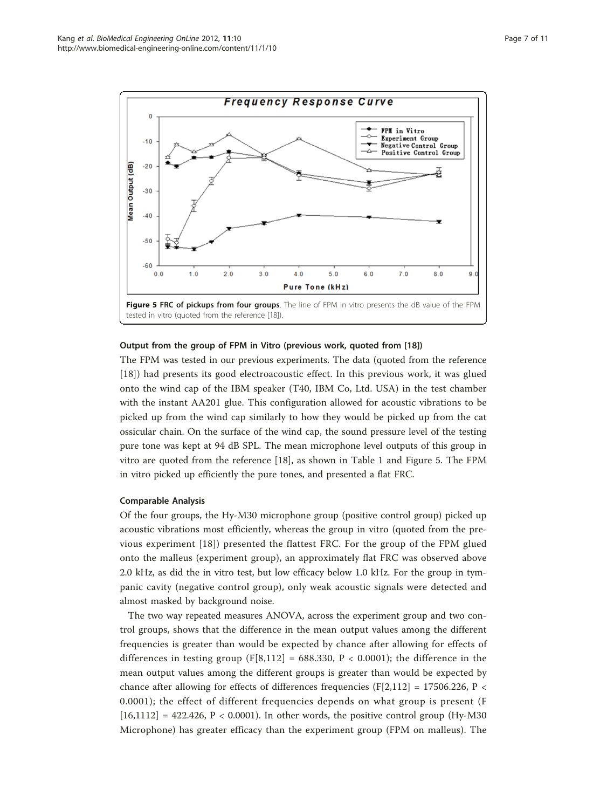<span id="page-6-0"></span>

#### Output from the group of FPM in Vitro (previous work, quoted from [[18](#page-10-0)])

The FPM was tested in our previous experiments. The data (quoted from the reference [[18\]](#page-10-0)) had presents its good electroacoustic effect. In this previous work, it was glued onto the wind cap of the IBM speaker (T40, IBM Co, Ltd. USA) in the test chamber with the instant AA201 glue. This configuration allowed for acoustic vibrations to be picked up from the wind cap similarly to how they would be picked up from the cat ossicular chain. On the surface of the wind cap, the sound pressure level of the testing pure tone was kept at 94 dB SPL. The mean microphone level outputs of this group in vitro are quoted from the reference [[18\]](#page-10-0), as shown in Table [1](#page-5-0) and Figure 5. The FPM in vitro picked up efficiently the pure tones, and presented a flat FRC.

#### Comparable Analysis

Of the four groups, the Hy-M30 microphone group (positive control group) picked up acoustic vibrations most efficiently, whereas the group in vitro (quoted from the previous experiment [[18\]](#page-10-0)) presented the flattest FRC. For the group of the FPM glued onto the malleus (experiment group), an approximately flat FRC was observed above 2.0 kHz, as did the in vitro test, but low efficacy below 1.0 kHz. For the group in tympanic cavity (negative control group), only weak acoustic signals were detected and almost masked by background noise.

The two way repeated measures ANOVA, across the experiment group and two control groups, shows that the difference in the mean output values among the different frequencies is greater than would be expected by chance after allowing for effects of differences in testing group (F[8,112] = 688.330, P < 0.0001); the difference in the mean output values among the different groups is greater than would be expected by chance after allowing for effects of differences frequencies (F[2,112] = 17506.226, P < 0.0001); the effect of different frequencies depends on what group is present (F  $[16,1112] = 422.426$ ,  $P < 0.0001$ ). In other words, the positive control group (Hy-M30) Microphone) has greater efficacy than the experiment group (FPM on malleus). The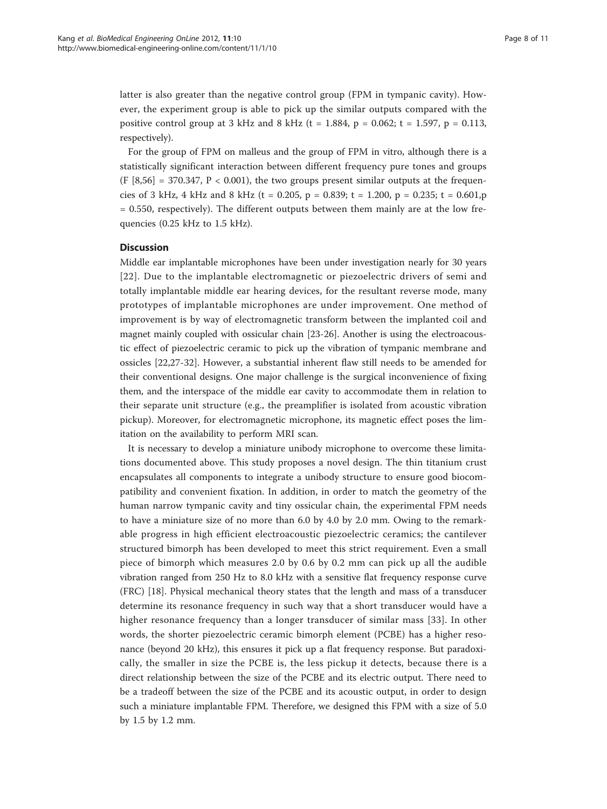latter is also greater than the negative control group (FPM in tympanic cavity). However, the experiment group is able to pick up the similar outputs compared with the positive control group at 3 kHz and 8 kHz (t = 1.884, p = 0.062; t = 1.597, p = 0.113, respectively).

For the group of FPM on malleus and the group of FPM in vitro, although there is a statistically significant interaction between different frequency pure tones and groups  $(F [8,56] = 370.347, P < 0.001)$ , the two groups present similar outputs at the frequencies of 3 kHz, 4 kHz and 8 kHz (t = 0.205, p = 0.839; t = 1.200, p = 0.235; t = 0.601,p  $= 0.550$ , respectively). The different outputs between them mainly are at the low frequencies (0.25 kHz to 1.5 kHz).

#### **Discussion**

Middle ear implantable microphones have been under investigation nearly for 30 years [[22\]](#page-10-0). Due to the implantable electromagnetic or piezoelectric drivers of semi and totally implantable middle ear hearing devices, for the resultant reverse mode, many prototypes of implantable microphones are under improvement. One method of improvement is by way of electromagnetic transform between the implanted coil and magnet mainly coupled with ossicular chain [[23](#page-10-0)-[26\]](#page-10-0). Another is using the electroacoustic effect of piezoelectric ceramic to pick up the vibration of tympanic membrane and ossicles [[22,27-32\]](#page-10-0). However, a substantial inherent flaw still needs to be amended for their conventional designs. One major challenge is the surgical inconvenience of fixing them, and the interspace of the middle ear cavity to accommodate them in relation to their separate unit structure (e.g., the preamplifier is isolated from acoustic vibration pickup). Moreover, for electromagnetic microphone, its magnetic effect poses the limitation on the availability to perform MRI scan.

It is necessary to develop a miniature unibody microphone to overcome these limitations documented above. This study proposes a novel design. The thin titanium crust encapsulates all components to integrate a unibody structure to ensure good biocompatibility and convenient fixation. In addition, in order to match the geometry of the human narrow tympanic cavity and tiny ossicular chain, the experimental FPM needs to have a miniature size of no more than 6.0 by 4.0 by 2.0 mm. Owing to the remarkable progress in high efficient electroacoustic piezoelectric ceramics; the cantilever structured bimorph has been developed to meet this strict requirement. Even a small piece of bimorph which measures 2.0 by 0.6 by 0.2 mm can pick up all the audible vibration ranged from 250 Hz to 8.0 kHz with a sensitive flat frequency response curve (FRC) [\[18](#page-10-0)]. Physical mechanical theory states that the length and mass of a transducer determine its resonance frequency in such way that a short transducer would have a higher resonance frequency than a longer transducer of similar mass [[33](#page-10-0)]. In other words, the shorter piezoelectric ceramic bimorph element (PCBE) has a higher resonance (beyond 20 kHz), this ensures it pick up a flat frequency response. But paradoxically, the smaller in size the PCBE is, the less pickup it detects, because there is a direct relationship between the size of the PCBE and its electric output. There need to be a tradeoff between the size of the PCBE and its acoustic output, in order to design such a miniature implantable FPM. Therefore, we designed this FPM with a size of 5.0 by 1.5 by 1.2 mm.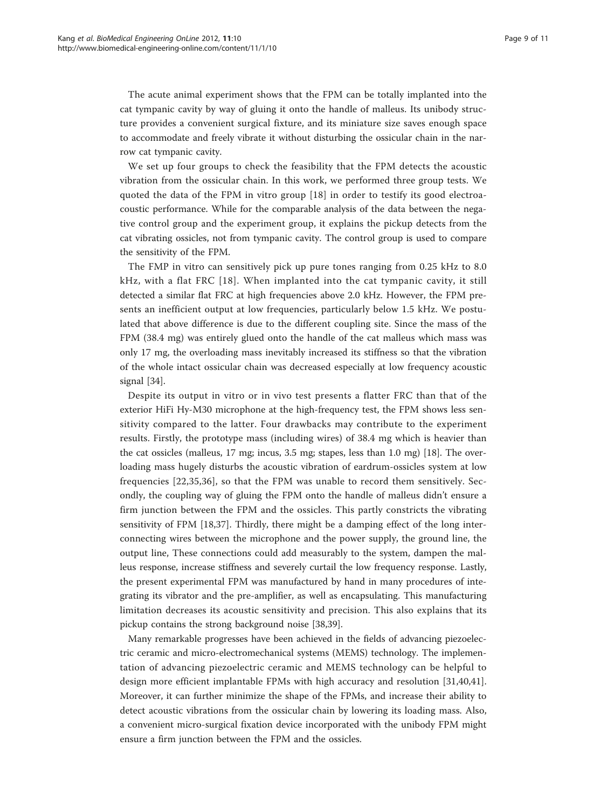The acute animal experiment shows that the FPM can be totally implanted into the cat tympanic cavity by way of gluing it onto the handle of malleus. Its unibody structure provides a convenient surgical fixture, and its miniature size saves enough space to accommodate and freely vibrate it without disturbing the ossicular chain in the narrow cat tympanic cavity.

We set up four groups to check the feasibility that the FPM detects the acoustic vibration from the ossicular chain. In this work, we performed three group tests. We quoted the data of the FPM in vitro group [\[18](#page-10-0)] in order to testify its good electroacoustic performance. While for the comparable analysis of the data between the negative control group and the experiment group, it explains the pickup detects from the cat vibrating ossicles, not from tympanic cavity. The control group is used to compare the sensitivity of the FPM.

The FMP in vitro can sensitively pick up pure tones ranging from 0.25 kHz to 8.0 kHz, with a flat FRC [[18\]](#page-10-0). When implanted into the cat tympanic cavity, it still detected a similar flat FRC at high frequencies above 2.0 kHz. However, the FPM presents an inefficient output at low frequencies, particularly below 1.5 kHz. We postulated that above difference is due to the different coupling site. Since the mass of the FPM (38.4 mg) was entirely glued onto the handle of the cat malleus which mass was only 17 mg, the overloading mass inevitably increased its stiffness so that the vibration of the whole intact ossicular chain was decreased especially at low frequency acoustic signal [\[34](#page-10-0)].

Despite its output in vitro or in vivo test presents a flatter FRC than that of the exterior HiFi Hy-M30 microphone at the high-frequency test, the FPM shows less sensitivity compared to the latter. Four drawbacks may contribute to the experiment results. Firstly, the prototype mass (including wires) of 38.4 mg which is heavier than the cat ossicles (malleus, 17 mg; incus, 3.5 mg; stapes, less than 1.0 mg) [[18\]](#page-10-0). The overloading mass hugely disturbs the acoustic vibration of eardrum-ossicles system at low frequencies [[22,35,36](#page-10-0)], so that the FPM was unable to record them sensitively. Secondly, the coupling way of gluing the FPM onto the handle of malleus didn't ensure a firm junction between the FPM and the ossicles. This partly constricts the vibrating sensitivity of FPM [[18,37\]](#page-10-0). Thirdly, there might be a damping effect of the long interconnecting wires between the microphone and the power supply, the ground line, the output line, These connections could add measurably to the system, dampen the malleus response, increase stiffness and severely curtail the low frequency response. Lastly, the present experimental FPM was manufactured by hand in many procedures of integrating its vibrator and the pre-amplifier, as well as encapsulating. This manufacturing limitation decreases its acoustic sensitivity and precision. This also explains that its pickup contains the strong background noise [[38,39](#page-10-0)].

Many remarkable progresses have been achieved in the fields of advancing piezoelectric ceramic and micro-electromechanical systems (MEMS) technology. The implementation of advancing piezoelectric ceramic and MEMS technology can be helpful to design more efficient implantable FPMs with high accuracy and resolution [[31,40,41](#page-10-0)]. Moreover, it can further minimize the shape of the FPMs, and increase their ability to detect acoustic vibrations from the ossicular chain by lowering its loading mass. Also, a convenient micro-surgical fixation device incorporated with the unibody FPM might ensure a firm junction between the FPM and the ossicles.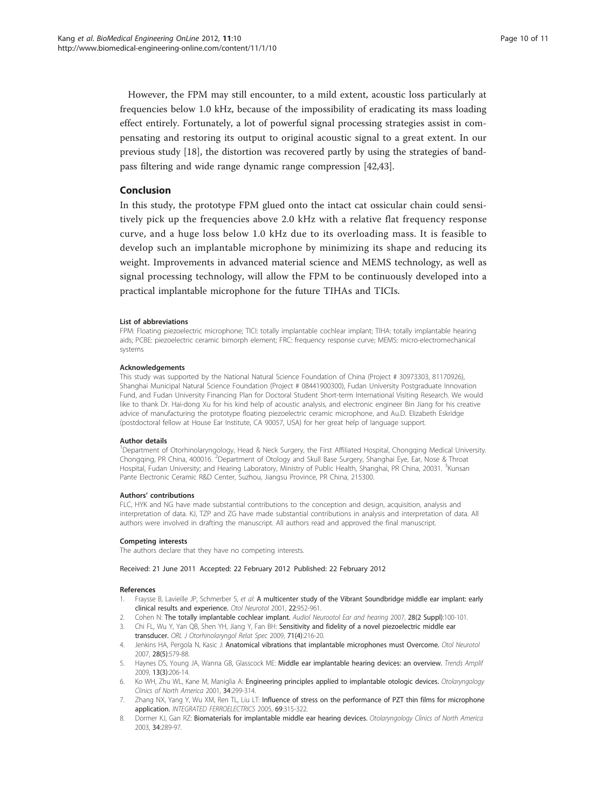<span id="page-9-0"></span>However, the FPM may still encounter, to a mild extent, acoustic loss particularly at frequencies below 1.0 kHz, because of the impossibility of eradicating its mass loading effect entirely. Fortunately, a lot of powerful signal processing strategies assist in compensating and restoring its output to original acoustic signal to a great extent. In our previous study [\[18](#page-10-0)], the distortion was recovered partly by using the strategies of bandpass filtering and wide range dynamic range compression [\[42,43\]](#page-10-0).

#### Conclusion

In this study, the prototype FPM glued onto the intact cat ossicular chain could sensitively pick up the frequencies above 2.0 kHz with a relative flat frequency response curve, and a huge loss below 1.0 kHz due to its overloading mass. It is feasible to develop such an implantable microphone by minimizing its shape and reducing its weight. Improvements in advanced material science and MEMS technology, as well as signal processing technology, will allow the FPM to be continuously developed into a practical implantable microphone for the future TIHAs and TICIs.

#### List of abbreviations

FPM: Floating piezoelectric microphone; TICI: totally implantable cochlear implant; TIHA: totally implantable hearing aids; PCBE: piezoelectric ceramic bimorph element; FRC: frequency response curve; MEMS: micro-electromechanical systems

#### Acknowledgements

This study was supported by the National Natural Science Foundation of China (Project # 30973303, 81170926), Shanghai Municipal Natural Science Foundation (Project # 08441900300), Fudan University Postgraduate Innovation Fund, and Fudan University Financing Plan for Doctoral Student Short-term International Visiting Research. We would like to thank Dr. Hai-dong Xu for his kind help of acoustic analysis, and electronic engineer Bin Jiang for his creative advice of manufacturing the prototype floating piezoelectric ceramic microphone, and Au.D. Elizabeth Eskridge (postdoctoral fellow at House Ear Institute, CA 90057, USA) for her great help of language support.

#### Author details

1 Department of Otorhinolaryngology, Head & Neck Surgery, the First Affiliated Hospital, Chongqing Medical University. Chongqing, PR China, 400016. <sup>2</sup>Department of Otology and Skull Base Surgery, Shanghai Eye, Ear, Nose & Throat Hospital, Fudan University; and Hearing Laboratory, Ministry of Public Health, Shanghai, PR China, 20031. <sup>3</sup>Kunsan Pante Electronic Ceramic R&D Center, Suzhou, Jiangsu Province, PR China, 215300.

#### Authors' contributions

FLC, HYK and NG have made substantial contributions to the conception and design, acquisition, analysis and interpretation of data. KJ, TZP and ZG have made substantial contributions in analysis and interpretation of data. All authors were involved in drafting the manuscript. All authors read and approved the final manuscript.

#### Competing interests

The authors declare that they have no competing interests.

#### Received: 21 June 2011 Accepted: 22 February 2012 Published: 22 February 2012

#### References

- 1. Fraysse B, Lavieille JP, Schmerber S, et al: [A multicenter study of the Vibrant Soundbridge middle ear implant: early](http://www.ncbi.nlm.nih.gov/pubmed/11698825?dopt=Abstract) [clinical results and experience.](http://www.ncbi.nlm.nih.gov/pubmed/11698825?dopt=Abstract) Otol Neurotol 2001, 22:952-961.
- 2. Cohen N: The totally implantable cochlear implant. Audiol Neurootol Ear and hearing 2007, 28(2 Suppl):100-101.
- 3. Chi FL, Wu Y, Yan QB, Shen YH, Jiang Y, Fan BH: [Sensitivity and fidelity of a novel piezoelectric middle ear](http://www.ncbi.nlm.nih.gov/pubmed/19707040?dopt=Abstract)
- [transducer.](http://www.ncbi.nlm.nih.gov/pubmed/19707040?dopt=Abstract) ORL J Otorhinolaryngol Relat Spec 2009, 71(4):216-20.
- 4. Jenkins HA, Pergola N, Kasic J: [Anatomical vibrations that implantable microphones must Overcome.](http://www.ncbi.nlm.nih.gov/pubmed/17534199?dopt=Abstract) Otol Neurotol 2007, 28(5):579-88.
- 5. Haynes DS, Young JA, Wanna GB, Glasscock ME: [Middle ear implantable hearing devices: an overview.](http://www.ncbi.nlm.nih.gov/pubmed/19762429?dopt=Abstract) Trends Amplif 2009, 13(3):206-14.
- 6. Ko WH, Zhu WL, Kane M, Maniglia A: Engineering principles applied to implantable otologic devices. Otolaryngology Clinics of North America 2001, 34:299-314.
- 7. Zhang NX, Yang Y, Wu XM, Ren TL, Liu LT: Influence of stress on the performance of PZT thin films for microphone application. INTEGRATED FERROELECTRICS 2005, 69:315-322.
- 8. Dormer KJ, Gan RZ: Biomaterials for implantable middle ear hearing devices. Otolaryngology Clinics of North America 2003, 34:289-97.